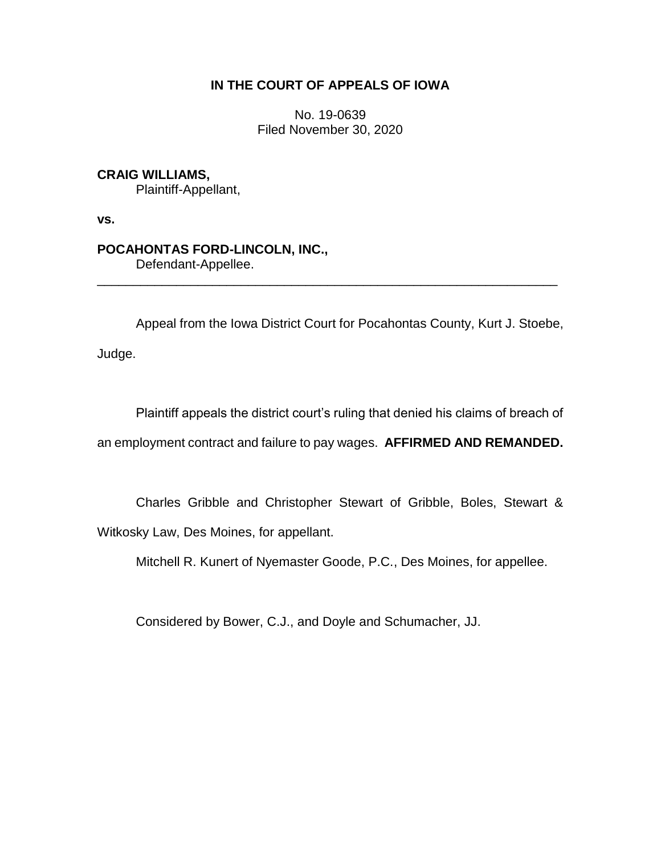## **IN THE COURT OF APPEALS OF IOWA**

No. 19-0639 Filed November 30, 2020

# **CRAIG WILLIAMS,**

Plaintiff-Appellant,

**vs.**

# **POCAHONTAS FORD-LINCOLN, INC.,**

Defendant-Appellee.

Appeal from the Iowa District Court for Pocahontas County, Kurt J. Stoebe,

\_\_\_\_\_\_\_\_\_\_\_\_\_\_\_\_\_\_\_\_\_\_\_\_\_\_\_\_\_\_\_\_\_\_\_\_\_\_\_\_\_\_\_\_\_\_\_\_\_\_\_\_\_\_\_\_\_\_\_\_\_\_\_\_

Judge.

Plaintiff appeals the district court's ruling that denied his claims of breach of an employment contract and failure to pay wages. **AFFIRMED AND REMANDED.**

Charles Gribble and Christopher Stewart of Gribble, Boles, Stewart & Witkosky Law, Des Moines, for appellant.

Mitchell R. Kunert of Nyemaster Goode, P.C., Des Moines, for appellee.

Considered by Bower, C.J., and Doyle and Schumacher, JJ.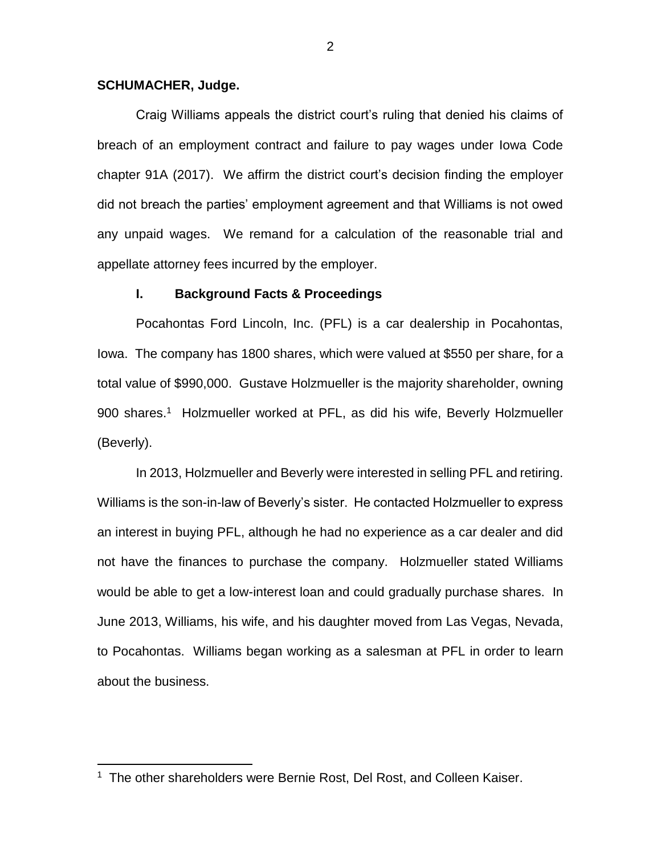## **SCHUMACHER, Judge.**

 $\overline{a}$ 

Craig Williams appeals the district court's ruling that denied his claims of breach of an employment contract and failure to pay wages under Iowa Code chapter 91A (2017). We affirm the district court's decision finding the employer did not breach the parties' employment agreement and that Williams is not owed any unpaid wages. We remand for a calculation of the reasonable trial and appellate attorney fees incurred by the employer.

## **I. Background Facts & Proceedings**

Pocahontas Ford Lincoln, Inc. (PFL) is a car dealership in Pocahontas, Iowa. The company has 1800 shares, which were valued at \$550 per share, for a total value of \$990,000. Gustave Holzmueller is the majority shareholder, owning 900 shares.<sup>1</sup> Holzmueller worked at PFL, as did his wife, Beverly Holzmueller (Beverly).

In 2013, Holzmueller and Beverly were interested in selling PFL and retiring. Williams is the son-in-law of Beverly's sister. He contacted Holzmueller to express an interest in buying PFL, although he had no experience as a car dealer and did not have the finances to purchase the company. Holzmueller stated Williams would be able to get a low-interest loan and could gradually purchase shares. In June 2013, Williams, his wife, and his daughter moved from Las Vegas, Nevada, to Pocahontas. Williams began working as a salesman at PFL in order to learn about the business.

<sup>&</sup>lt;sup>1</sup> The other shareholders were Bernie Rost, Del Rost, and Colleen Kaiser.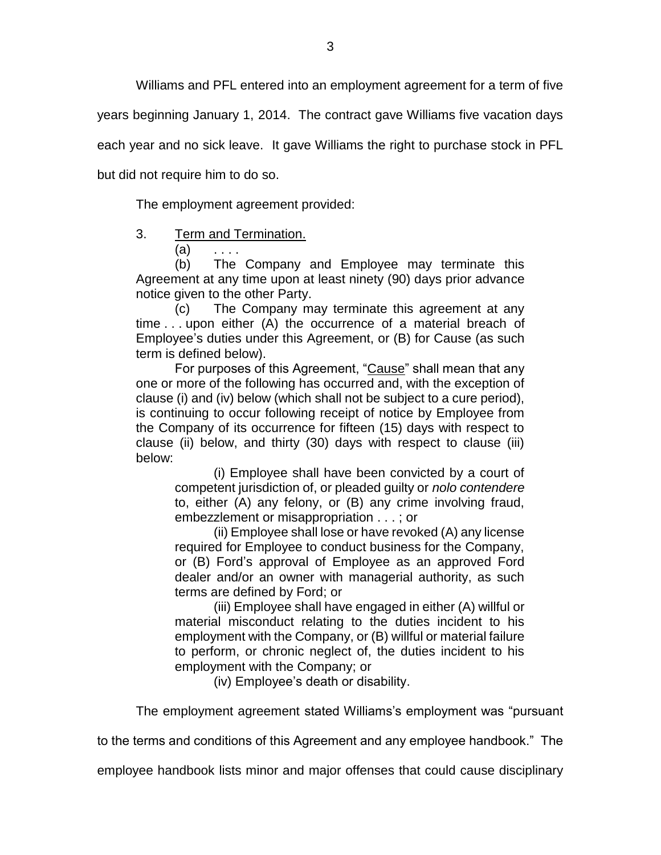Williams and PFL entered into an employment agreement for a term of five

years beginning January 1, 2014. The contract gave Williams five vacation days

each year and no sick leave. It gave Williams the right to purchase stock in PFL

but did not require him to do so.

The employment agreement provided:

- 3. Term and Termination.
	- $(a) \quad \ldots$

(b) The Company and Employee may terminate this Agreement at any time upon at least ninety (90) days prior advance notice given to the other Party.

(c) The Company may terminate this agreement at any time . . . upon either (A) the occurrence of a material breach of Employee's duties under this Agreement, or (B) for Cause (as such term is defined below).

For purposes of this Agreement, "Cause" shall mean that any one or more of the following has occurred and, with the exception of clause (i) and (iv) below (which shall not be subject to a cure period), is continuing to occur following receipt of notice by Employee from the Company of its occurrence for fifteen (15) days with respect to clause (ii) below, and thirty (30) days with respect to clause (iii) below:

(i) Employee shall have been convicted by a court of competent jurisdiction of, or pleaded guilty or *nolo contendere*  to, either (A) any felony, or (B) any crime involving fraud, embezzlement or misappropriation . . . ; or

(ii) Employee shall lose or have revoked (A) any license required for Employee to conduct business for the Company, or (B) Ford's approval of Employee as an approved Ford dealer and/or an owner with managerial authority, as such terms are defined by Ford; or

(iii) Employee shall have engaged in either (A) willful or material misconduct relating to the duties incident to his employment with the Company, or (B) willful or material failure to perform, or chronic neglect of, the duties incident to his employment with the Company; or

(iv) Employee's death or disability.

The employment agreement stated Williams's employment was "pursuant

to the terms and conditions of this Agreement and any employee handbook." The

employee handbook lists minor and major offenses that could cause disciplinary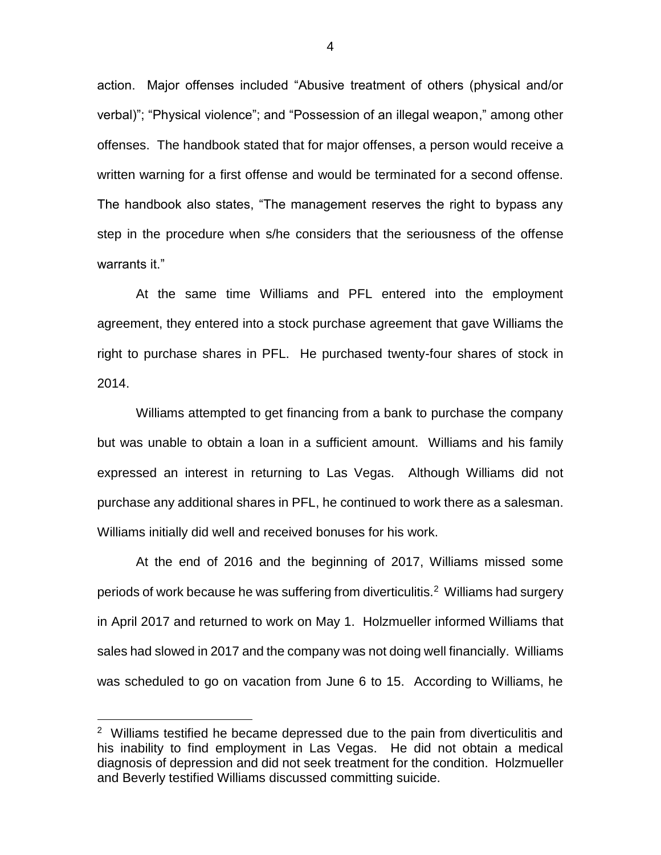action. Major offenses included "Abusive treatment of others (physical and/or verbal)"; "Physical violence"; and "Possession of an illegal weapon," among other offenses. The handbook stated that for major offenses, a person would receive a written warning for a first offense and would be terminated for a second offense. The handbook also states, "The management reserves the right to bypass any step in the procedure when s/he considers that the seriousness of the offense warrants it."

At the same time Williams and PFL entered into the employment agreement, they entered into a stock purchase agreement that gave Williams the right to purchase shares in PFL. He purchased twenty-four shares of stock in 2014.

Williams attempted to get financing from a bank to purchase the company but was unable to obtain a loan in a sufficient amount. Williams and his family expressed an interest in returning to Las Vegas. Although Williams did not purchase any additional shares in PFL, he continued to work there as a salesman. Williams initially did well and received bonuses for his work.

At the end of 2016 and the beginning of 2017, Williams missed some periods of work because he was suffering from diverticulitis.<sup>2</sup> Williams had surgery in April 2017 and returned to work on May 1. Holzmueller informed Williams that sales had slowed in 2017 and the company was not doing well financially. Williams was scheduled to go on vacation from June 6 to 15. According to Williams, he

 $\overline{a}$ 

<sup>&</sup>lt;sup>2</sup> Williams testified he became depressed due to the pain from diverticulitis and his inability to find employment in Las Vegas. He did not obtain a medical diagnosis of depression and did not seek treatment for the condition. Holzmueller and Beverly testified Williams discussed committing suicide.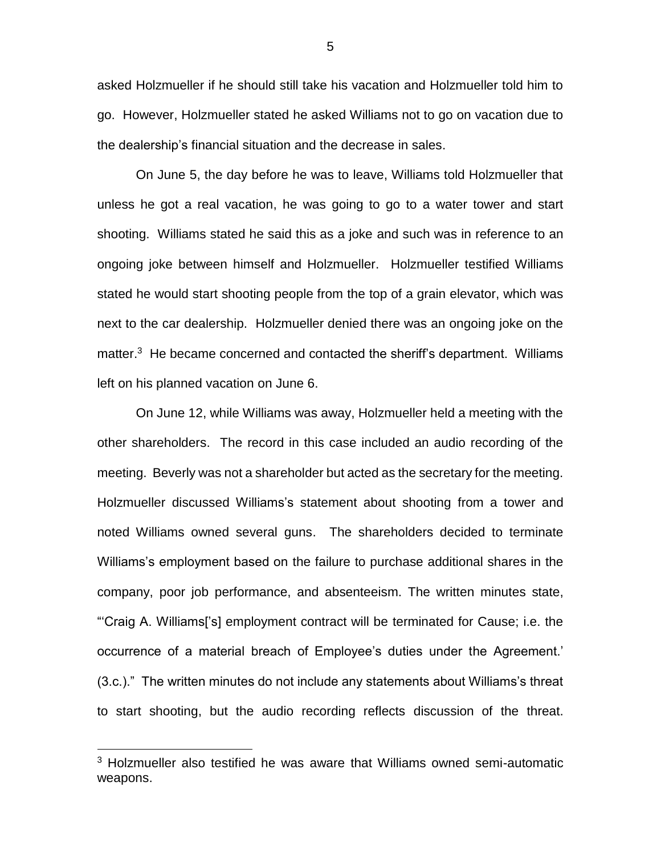asked Holzmueller if he should still take his vacation and Holzmueller told him to go. However, Holzmueller stated he asked Williams not to go on vacation due to the dealership's financial situation and the decrease in sales.

On June 5, the day before he was to leave, Williams told Holzmueller that unless he got a real vacation, he was going to go to a water tower and start shooting. Williams stated he said this as a joke and such was in reference to an ongoing joke between himself and Holzmueller. Holzmueller testified Williams stated he would start shooting people from the top of a grain elevator, which was next to the car dealership. Holzmueller denied there was an ongoing joke on the matter.<sup>3</sup> He became concerned and contacted the sheriff's department. Williams left on his planned vacation on June 6.

On June 12, while Williams was away, Holzmueller held a meeting with the other shareholders. The record in this case included an audio recording of the meeting. Beverly was not a shareholder but acted as the secretary for the meeting. Holzmueller discussed Williams's statement about shooting from a tower and noted Williams owned several guns. The shareholders decided to terminate Williams's employment based on the failure to purchase additional shares in the company, poor job performance, and absenteeism. The written minutes state, "'Craig A. Williams['s] employment contract will be terminated for Cause; i.e. the occurrence of a material breach of Employee's duties under the Agreement.' (3.c.)." The written minutes do not include any statements about Williams's threat to start shooting, but the audio recording reflects discussion of the threat.

 $\overline{a}$ 

5

 $3$  Holzmueller also testified he was aware that Williams owned semi-automatic weapons.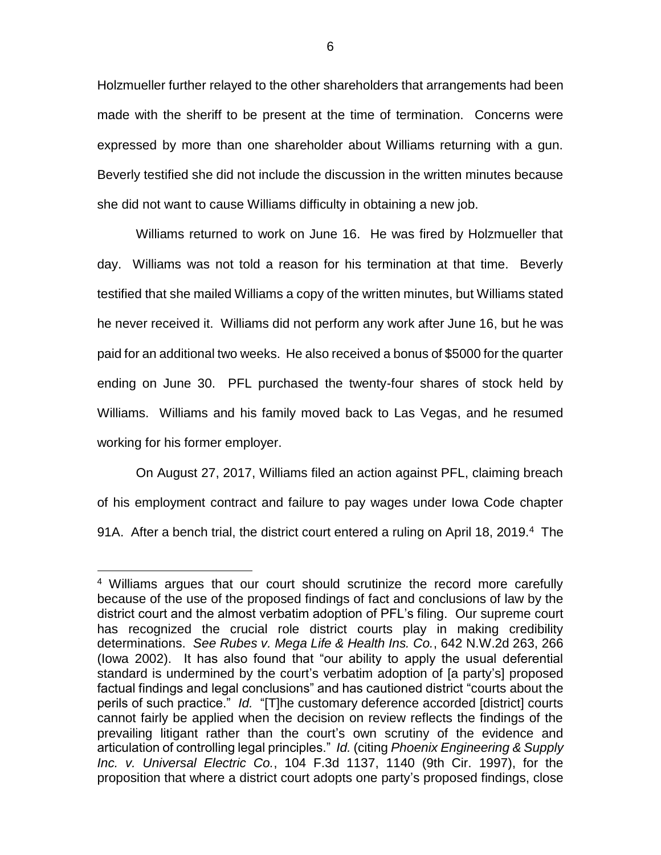Holzmueller further relayed to the other shareholders that arrangements had been made with the sheriff to be present at the time of termination. Concerns were expressed by more than one shareholder about Williams returning with a gun. Beverly testified she did not include the discussion in the written minutes because she did not want to cause Williams difficulty in obtaining a new job.

Williams returned to work on June 16. He was fired by Holzmueller that day. Williams was not told a reason for his termination at that time. Beverly testified that she mailed Williams a copy of the written minutes, but Williams stated he never received it. Williams did not perform any work after June 16, but he was paid for an additional two weeks. He also received a bonus of \$5000 for the quarter ending on June 30. PFL purchased the twenty-four shares of stock held by Williams. Williams and his family moved back to Las Vegas, and he resumed working for his former employer.

On August 27, 2017, Williams filed an action against PFL, claiming breach of his employment contract and failure to pay wages under Iowa Code chapter 91A. After a bench trial, the district court entered a ruling on April 18, 2019.<sup>4</sup> The

 $\overline{a}$ 

<sup>4</sup> Williams argues that our court should scrutinize the record more carefully because of the use of the proposed findings of fact and conclusions of law by the district court and the almost verbatim adoption of PFL's filing. Our supreme court has recognized the crucial role district courts play in making credibility determinations. *See Rubes v. Mega Life & Health Ins. Co.*, 642 N.W.2d 263, 266 (Iowa 2002). It has also found that "our ability to apply the usual deferential standard is undermined by the court's verbatim adoption of [a party's] proposed factual findings and legal conclusions" and has cautioned district "courts about the perils of such practice." *Id.* "[T]he customary deference accorded [district] courts cannot fairly be applied when the decision on review reflects the findings of the prevailing litigant rather than the court's own scrutiny of the evidence and articulation of controlling legal principles." *Id.* (citing *Phoenix Engineering & Supply Inc. v. Universal Electric Co.*, 104 F.3d 1137, 1140 (9th Cir. 1997), for the proposition that where a district court adopts one party's proposed findings, close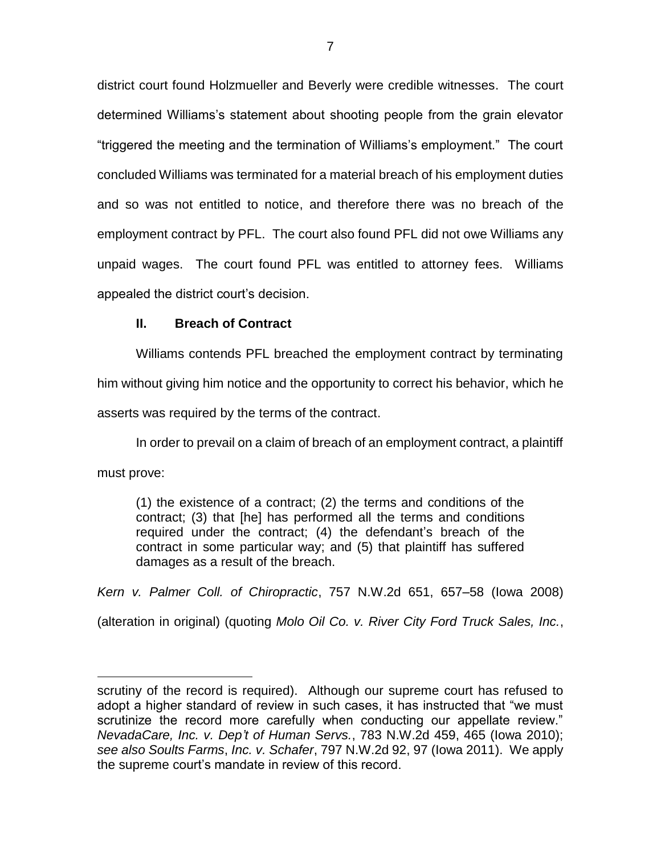district court found Holzmueller and Beverly were credible witnesses. The court determined Williams's statement about shooting people from the grain elevator "triggered the meeting and the termination of Williams's employment." The court concluded Williams was terminated for a material breach of his employment duties and so was not entitled to notice, and therefore there was no breach of the employment contract by PFL. The court also found PFL did not owe Williams any unpaid wages. The court found PFL was entitled to attorney fees. Williams appealed the district court's decision.

## **II. Breach of Contract**

 $\overline{a}$ 

Williams contends PFL breached the employment contract by terminating him without giving him notice and the opportunity to correct his behavior, which he

asserts was required by the terms of the contract.

In order to prevail on a claim of breach of an employment contract, a plaintiff must prove:

(1) the existence of a contract; (2) the terms and conditions of the contract; (3) that [he] has performed all the terms and conditions required under the contract; (4) the defendant's breach of the contract in some particular way; and (5) that plaintiff has suffered damages as a result of the breach.

*Kern v. Palmer Coll. of Chiropractic*, 757 N.W.2d 651, 657–58 (Iowa 2008) (alteration in original) (quoting *Molo Oil Co. v. River City Ford Truck Sales, Inc.*,

scrutiny of the record is required). Although our supreme court has refused to adopt a higher standard of review in such cases, it has instructed that "we must scrutinize the record more carefully when conducting our appellate review." *NevadaCare, Inc. v. Dep't of Human Servs.*, 783 N.W.2d 459, 465 (Iowa 2010); *see also Soults Farms*, *Inc. v. Schafer*, 797 N.W.2d 92, 97 (Iowa 2011). We apply the supreme court's mandate in review of this record.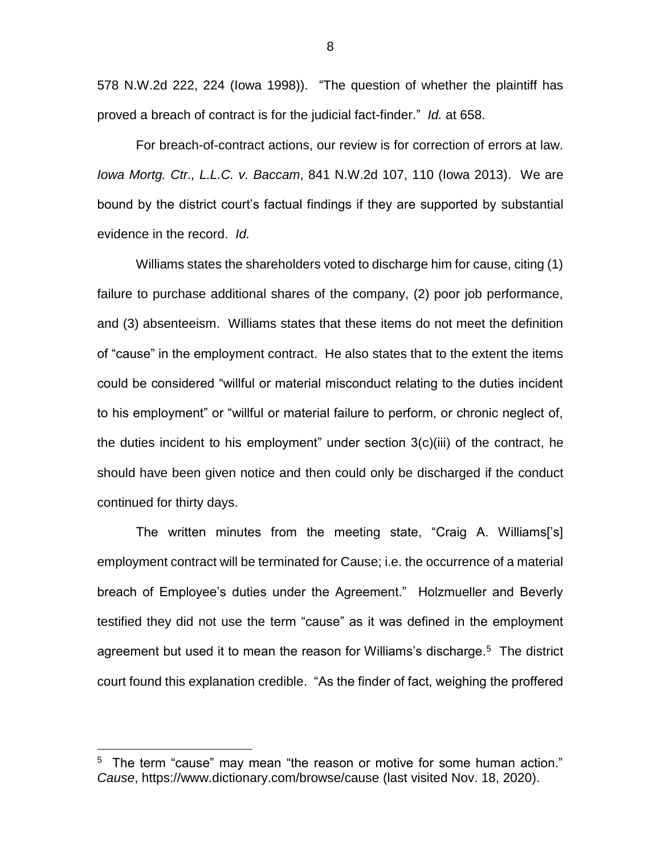578 N.W.2d 222, 224 (Iowa 1998)). "The question of whether the plaintiff has proved a breach of contract is for the judicial fact-finder." *Id.* at 658.

For breach-of-contract actions, our review is for correction of errors at law. *Iowa Mortg. Ctr., L.L.C. v. Baccam*, 841 N.W.2d 107, 110 (Iowa 2013). We are bound by the district court's factual findings if they are supported by substantial evidence in the record. *Id.*

Williams states the shareholders voted to discharge him for cause, citing (1) failure to purchase additional shares of the company, (2) poor job performance, and (3) absenteeism. Williams states that these items do not meet the definition of "cause" in the employment contract. He also states that to the extent the items could be considered "willful or material misconduct relating to the duties incident to his employment" or "willful or material failure to perform, or chronic neglect of, the duties incident to his employment" under section 3(c)(iii) of the contract, he should have been given notice and then could only be discharged if the conduct continued for thirty days.

The written minutes from the meeting state, "Craig A. Williams['s] employment contract will be terminated for Cause; i.e. the occurrence of a material breach of Employee's duties under the Agreement." Holzmueller and Beverly testified they did not use the term "cause" as it was defined in the employment agreement but used it to mean the reason for Williams's discharge.<sup>5</sup> The district court found this explanation credible. "As the finder of fact, weighing the proffered

 $\overline{a}$ 

8

<sup>&</sup>lt;sup>5</sup> The term "cause" may mean "the reason or motive for some human action." *Cause*, https://www.dictionary.com/browse/cause (last visited Nov. 18, 2020).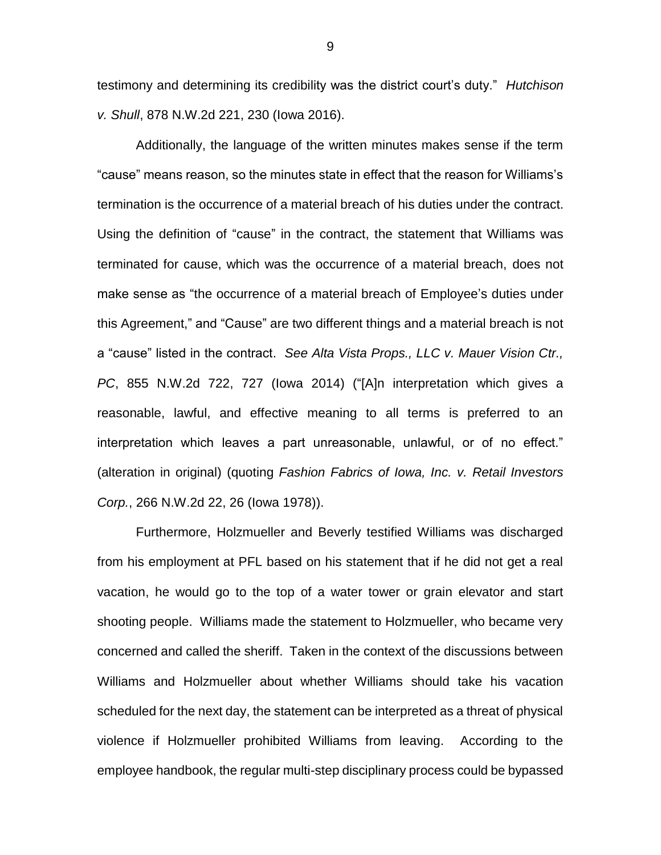testimony and determining its credibility was the district court's duty." *Hutchison v. Shull*, 878 N.W.2d 221, 230 (Iowa 2016).

Additionally, the language of the written minutes makes sense if the term "cause" means reason, so the minutes state in effect that the reason for Williams's termination is the occurrence of a material breach of his duties under the contract. Using the definition of "cause" in the contract, the statement that Williams was terminated for cause, which was the occurrence of a material breach, does not make sense as "the occurrence of a material breach of Employee's duties under this Agreement," and "Cause" are two different things and a material breach is not a "cause" listed in the contract. *See Alta Vista Props., LLC v. Mauer Vision Ctr., PC*, 855 N.W.2d 722, 727 (Iowa 2014) ("[A]n interpretation which gives a reasonable, lawful, and effective meaning to all terms is preferred to an interpretation which leaves a part unreasonable, unlawful, or of no effect." (alteration in original) (quoting *Fashion Fabrics of Iowa, Inc. v. Retail Investors Corp.*, 266 N.W.2d 22, 26 (Iowa 1978)).

Furthermore, Holzmueller and Beverly testified Williams was discharged from his employment at PFL based on his statement that if he did not get a real vacation, he would go to the top of a water tower or grain elevator and start shooting people. Williams made the statement to Holzmueller, who became very concerned and called the sheriff. Taken in the context of the discussions between Williams and Holzmueller about whether Williams should take his vacation scheduled for the next day, the statement can be interpreted as a threat of physical violence if Holzmueller prohibited Williams from leaving. According to the employee handbook, the regular multi-step disciplinary process could be bypassed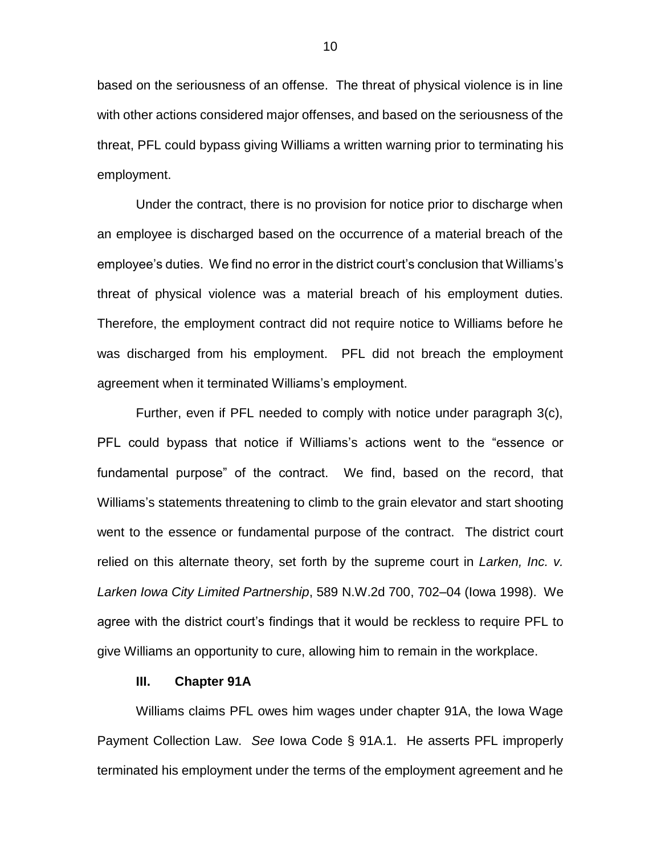based on the seriousness of an offense. The threat of physical violence is in line with other actions considered major offenses, and based on the seriousness of the threat, PFL could bypass giving Williams a written warning prior to terminating his employment.

Under the contract, there is no provision for notice prior to discharge when an employee is discharged based on the occurrence of a material breach of the employee's duties. We find no error in the district court's conclusion that Williams's threat of physical violence was a material breach of his employment duties. Therefore, the employment contract did not require notice to Williams before he was discharged from his employment. PFL did not breach the employment agreement when it terminated Williams's employment.

Further, even if PFL needed to comply with notice under paragraph 3(c), PFL could bypass that notice if Williams's actions went to the "essence or fundamental purpose" of the contract. We find, based on the record, that Williams's statements threatening to climb to the grain elevator and start shooting went to the essence or fundamental purpose of the contract. The district court relied on this alternate theory, set forth by the supreme court in *Larken, Inc. v. Larken Iowa City Limited Partnership*, 589 N.W.2d 700, 702–04 (Iowa 1998). We agree with the district court's findings that it would be reckless to require PFL to give Williams an opportunity to cure, allowing him to remain in the workplace.

#### **III. Chapter 91A**

Williams claims PFL owes him wages under chapter 91A, the Iowa Wage Payment Collection Law. *See* Iowa Code § 91A.1. He asserts PFL improperly terminated his employment under the terms of the employment agreement and he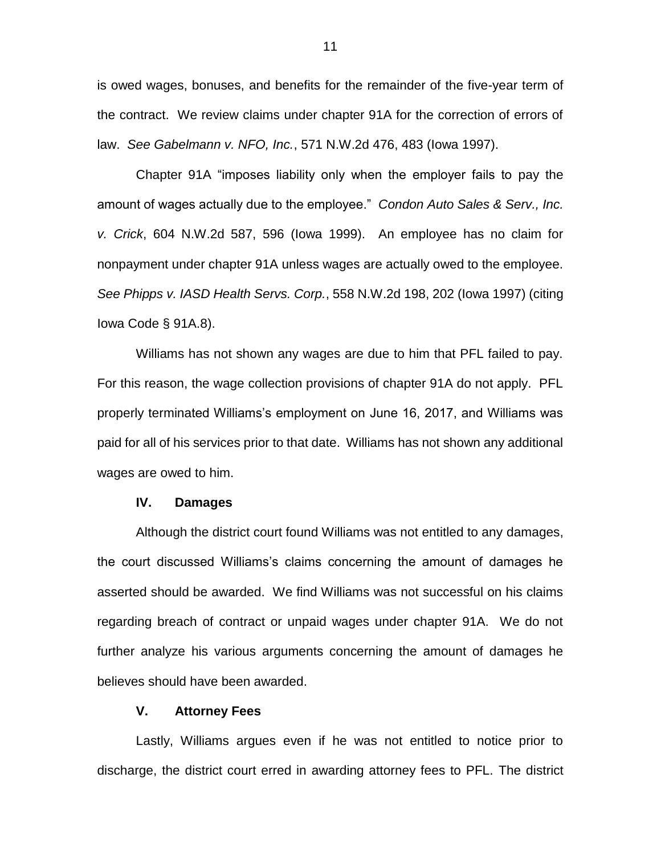is owed wages, bonuses, and benefits for the remainder of the five-year term of the contract. We review claims under chapter 91A for the correction of errors of law. *See Gabelmann v. NFO, Inc.*, 571 N.W.2d 476, 483 (Iowa 1997).

Chapter 91A "imposes liability only when the employer fails to pay the amount of wages actually due to the employee." *Condon Auto Sales & Serv., Inc. v. Crick*, 604 N.W.2d 587, 596 (Iowa 1999). An employee has no claim for nonpayment under chapter 91A unless wages are actually owed to the employee. *See Phipps v. IASD Health Servs. Corp.*, 558 N.W.2d 198, 202 (Iowa 1997) (citing Iowa Code § 91A.8).

Williams has not shown any wages are due to him that PFL failed to pay. For this reason, the wage collection provisions of chapter 91A do not apply. PFL properly terminated Williams's employment on June 16, 2017, and Williams was paid for all of his services prior to that date. Williams has not shown any additional wages are owed to him.

#### **IV. Damages**

Although the district court found Williams was not entitled to any damages, the court discussed Williams's claims concerning the amount of damages he asserted should be awarded. We find Williams was not successful on his claims regarding breach of contract or unpaid wages under chapter 91A. We do not further analyze his various arguments concerning the amount of damages he believes should have been awarded.

## **V. Attorney Fees**

Lastly, Williams argues even if he was not entitled to notice prior to discharge, the district court erred in awarding attorney fees to PFL. The district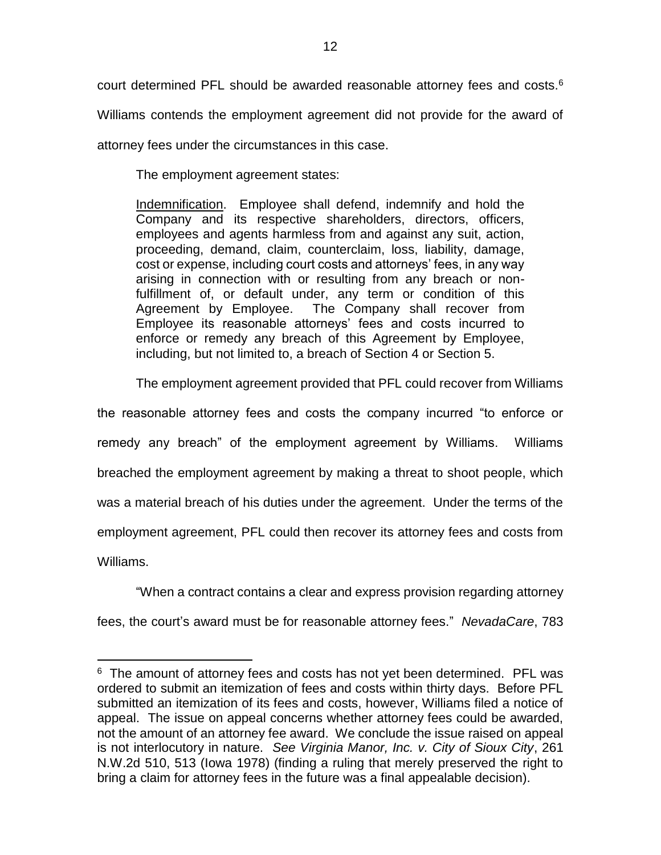court determined PFL should be awarded reasonable attorney fees and costs. $6$ 

Williams contends the employment agreement did not provide for the award of

attorney fees under the circumstances in this case.

The employment agreement states:

 $\overline{a}$ 

Indemnification. Employee shall defend, indemnify and hold the Company and its respective shareholders, directors, officers, employees and agents harmless from and against any suit, action, proceeding, demand, claim, counterclaim, loss, liability, damage, cost or expense, including court costs and attorneys' fees, in any way arising in connection with or resulting from any breach or nonfulfillment of, or default under, any term or condition of this Agreement by Employee. The Company shall recover from Employee its reasonable attorneys' fees and costs incurred to enforce or remedy any breach of this Agreement by Employee, including, but not limited to, a breach of Section 4 or Section 5.

The employment agreement provided that PFL could recover from Williams

the reasonable attorney fees and costs the company incurred "to enforce or remedy any breach" of the employment agreement by Williams. Williams breached the employment agreement by making a threat to shoot people, which was a material breach of his duties under the agreement. Under the terms of the employment agreement, PFL could then recover its attorney fees and costs from Williams.

"When a contract contains a clear and express provision regarding attorney

fees, the court's award must be for reasonable attorney fees." *NevadaCare*, 783

 $6$  The amount of attorney fees and costs has not yet been determined. PFL was ordered to submit an itemization of fees and costs within thirty days. Before PFL submitted an itemization of its fees and costs, however, Williams filed a notice of appeal. The issue on appeal concerns whether attorney fees could be awarded, not the amount of an attorney fee award. We conclude the issue raised on appeal is not interlocutory in nature. *See Virginia Manor, Inc. v. City of Sioux City*, 261 N.W.2d 510, 513 (Iowa 1978) (finding a ruling that merely preserved the right to bring a claim for attorney fees in the future was a final appealable decision).